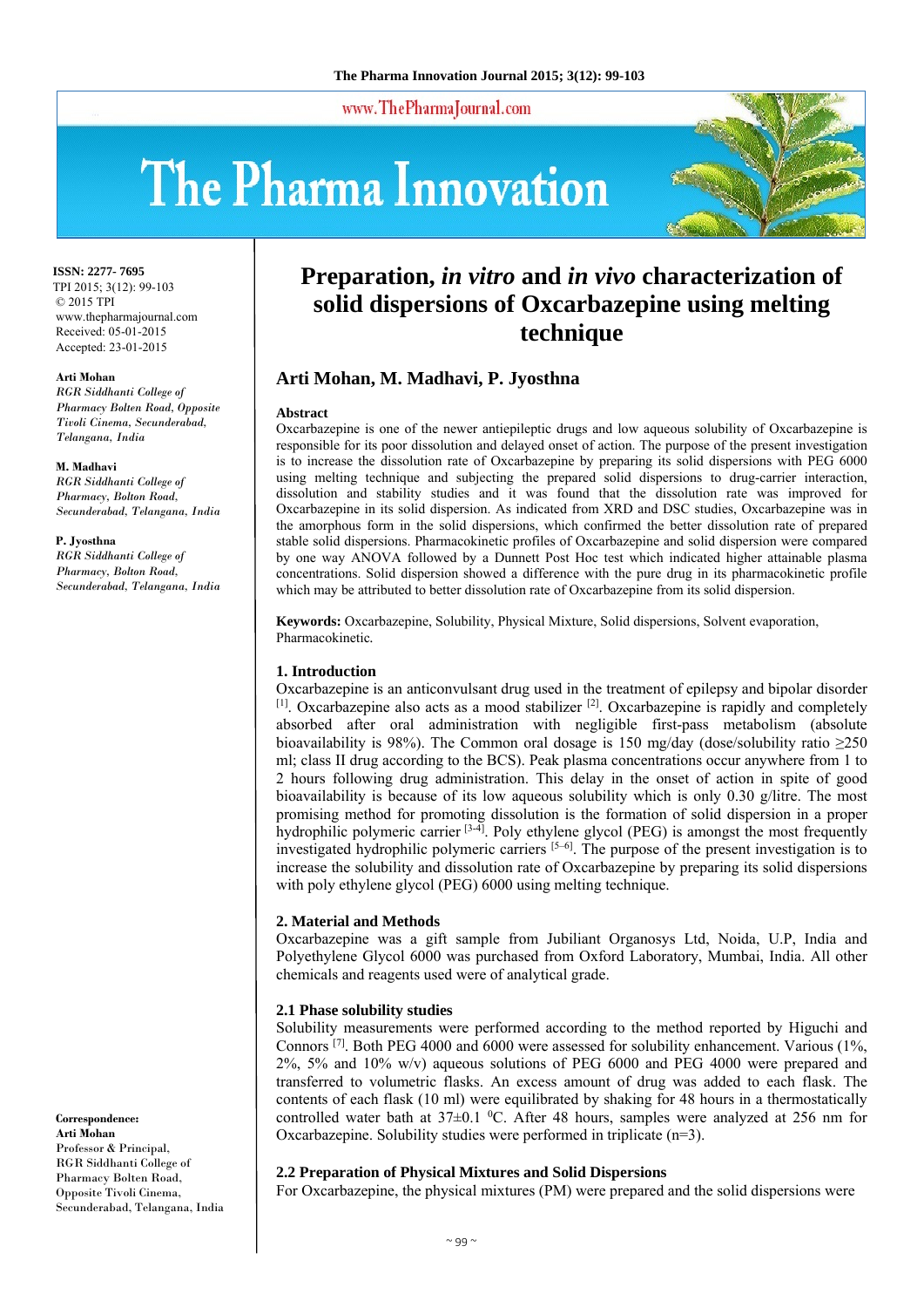www.ThePharmaJournal.com

# The Pharma Innovation



**ISSN: 2277- 7695** TPI 2015; 3(12): 99-103 © 2015 TPI www.thepharmajournal.com Received: 05-01-2015 Accepted: 23-01-2015

#### **Arti Mohan**

*RGR Siddhanti College of Pharmacy Bolten Road, Opposite Tivoli Cinema, Secunderabad, Telangana, India* 

**M. Madhavi** *RGR Siddhanti College of Pharmacy, Bolton Road, Secunderabad, Telangana, India* 

**P. Jyosthna** *RGR Siddhanti College of Pharmacy, Bolton Road, Secunderabad, Telangana, India* 

**Correspondence: Arti Mohan**  Professor & Principal, RGR Siddhanti College of Pharmacy Bolten Road, Opposite Tivoli Cinema, Secunderabad, Telangana, India

# **Preparation,** *in vitro* **and** *in vivo* **characterization of solid dispersions of Oxcarbazepine using melting technique**

# **Arti Mohan, M. Madhavi, P. Jyosthna**

#### **Abstract**

Oxcarbazepine is one of the newer antiepileptic drugs and low aqueous solubility of Oxcarbazepine is responsible for its poor dissolution and delayed onset of action. The purpose of the present investigation is to increase the dissolution rate of Oxcarbazepine by preparing its solid dispersions with PEG 6000 using melting technique and subjecting the prepared solid dispersions to drug-carrier interaction, dissolution and stability studies and it was found that the dissolution rate was improved for Oxcarbazepine in its solid dispersion. As indicated from XRD and DSC studies, Oxcarbazepine was in the amorphous form in the solid dispersions, which confirmed the better dissolution rate of prepared stable solid dispersions. Pharmacokinetic profiles of Oxcarbazepine and solid dispersion were compared by one way ANOVA followed by a Dunnett Post Hoc test which indicated higher attainable plasma concentrations. Solid dispersion showed a difference with the pure drug in its pharmacokinetic profile which may be attributed to better dissolution rate of Oxcarbazepine from its solid dispersion.

**Keywords:** Oxcarbazepine, Solubility, Physical Mixture, Solid dispersions, Solvent evaporation, Pharmacokinetic*.*

# **1. Introduction**

Oxcarbazepine is an anticonvulsant drug used in the treatment of epilepsy and bipolar disorder  $[1]$ . Oxcarbazepine also acts as a mood stabilizer  $[2]$ . Oxcarbazepine is rapidly and completely absorbed after oral administration with negligible first-pass metabolism (absolute bioavailability is 98%). The Common oral dosage is 150 mg/day (dose/solubility ratio  $\geq$ 250 ml; class II drug according to the BCS). Peak plasma concentrations occur anywhere from 1 to 2 hours following drug administration. This delay in the onset of action in spite of good bioavailability is because of its low aqueous solubility which is only 0.30 g/litre. The most promising method for promoting dissolution is the formation of solid dispersion in a proper hydrophilic polymeric carrier <sup>[3-4]</sup>. Poly ethylene glycol (PEG) is amongst the most frequently investigated hydrophilic polymeric carriers  $[5-6]$ . The purpose of the present investigation is to increase the solubility and dissolution rate of Oxcarbazepine by preparing its solid dispersions with poly ethylene glycol (PEG) 6000 using melting technique.

# **2. Material and Methods**

Oxcarbazepine was a gift sample from Jubiliant Organosys Ltd, Noida, U.P, India and Polyethylene Glycol 6000 was purchased from Oxford Laboratory, Mumbai, India. All other chemicals and reagents used were of analytical grade.

# **2.1 Phase solubility studies**

Solubility measurements were performed according to the method reported by Higuchi and Connors  $^{[7]}$ . Both PEG 4000 and 6000 were assessed for solubility enhancement. Various (1%, 2%, 5% and 10% w/v) aqueous solutions of PEG 6000 and PEG 4000 were prepared and transferred to volumetric flasks. An excess amount of drug was added to each flask. The contents of each flask (10 ml) were equilibrated by shaking for 48 hours in a thermostatically controlled water bath at  $37\pm0.1$  °C. After 48 hours, samples were analyzed at 256 nm for Oxcarbazepine. Solubility studies were performed in triplicate (n=3).

# **2.2 Preparation of Physical Mixtures and Solid Dispersions**

For Oxcarbazepine, the physical mixtures (PM) were prepared and the solid dispersions were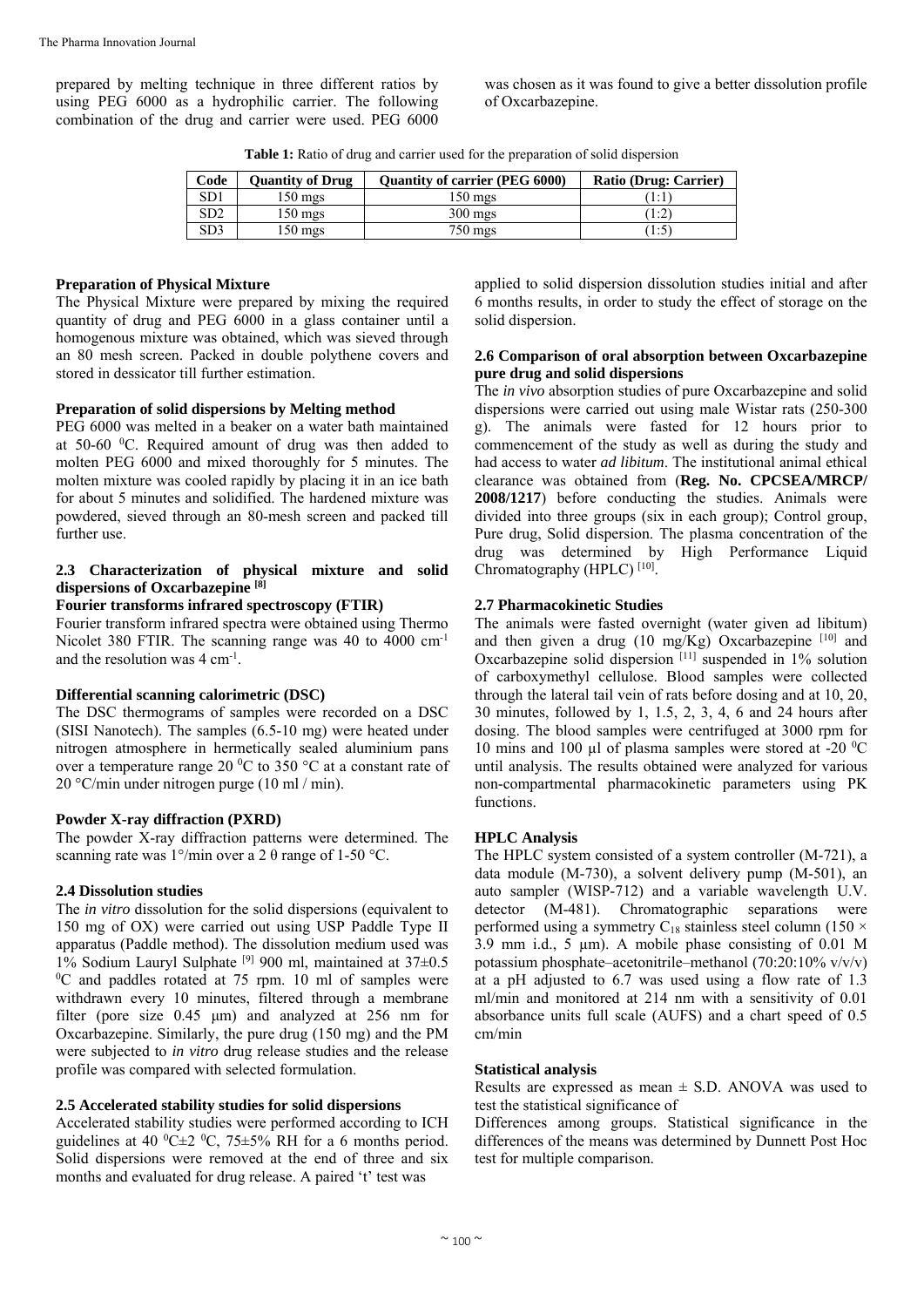prepared by melting technique in three different ratios by using PEG 6000 as a hydrophilic carrier. The following combination of the drug and carrier were used. PEG 6000

was chosen as it was found to give a better dissolution profile of Oxcarbazepine.

Table 1: Ratio of drug and carrier used for the preparation of solid dispersion

| Code            | <b>Ouantity of Drug</b> | <b>Ouantity of carrier (PEG 6000)</b> | Ratio (Drug: Carrier) |
|-----------------|-------------------------|---------------------------------------|-----------------------|
| SD1             | 150 mgs                 | 150 mgs                               |                       |
| SD <sub>2</sub> | 150 mgs                 | $300$ mgs                             | 1:2                   |
| SD3             | 150 mgs                 | 750 mgs                               |                       |

# **Preparation of Physical Mixture**

The Physical Mixture were prepared by mixing the required quantity of drug and PEG 6000 in a glass container until a homogenous mixture was obtained, which was sieved through an 80 mesh screen. Packed in double polythene covers and stored in dessicator till further estimation.

## **Preparation of solid dispersions by Melting method**

PEG 6000 was melted in a beaker on a water bath maintained at  $50-60$  °C. Required amount of drug was then added to molten PEG 6000 and mixed thoroughly for 5 minutes. The molten mixture was cooled rapidly by placing it in an ice bath for about 5 minutes and solidified. The hardened mixture was powdered, sieved through an 80-mesh screen and packed till further use.

## **2.3 Characterization of physical mixture and solid dispersions of Oxcarbazepine [8]**

# **Fourier transforms infrared spectroscopy (FTIR)**

Fourier transform infrared spectra were obtained using Thermo Nicolet 380 FTIR. The scanning range was 40 to 4000 cm<sup>-1</sup> and the resolution was  $4 \text{ cm}^{-1}$ .

#### **Differential scanning calorimetric (DSC)**

The DSC thermograms of samples were recorded on a DSC (SISI Nanotech). The samples (6.5-10 mg) were heated under nitrogen atmosphere in hermetically sealed aluminium pans over a temperature range 20  $\rm{^0C}$  to 350  $\rm{^{\circ}C}$  at a constant rate of 20 °C/min under nitrogen purge (10 ml / min).

#### **Powder X-ray diffraction (PXRD)**

The powder X-ray diffraction patterns were determined. The scanning rate was  $1^{\circ}/$ min over a 2 θ range of 1-50 °C.

# **2.4 Dissolution studies**

The *in vitro* dissolution for the solid dispersions (equivalent to 150 mg of OX) were carried out using USP Paddle Type II apparatus (Paddle method). The dissolution medium used was 1% Sodium Lauryl Sulphate <sup>[9]</sup> 900 ml, maintained at  $37\pm0.5$  ${}^{0}C$  and paddles rotated at 75 rpm. 10 ml of samples were withdrawn every 10 minutes, filtered through a membrane filter (pore size 0.45 μm) and analyzed at 256 nm for Oxcarbazepine. Similarly, the pure drug (150 mg) and the PM were subjected to *in vitro* drug release studies and the release profile was compared with selected formulation.

#### **2.5 Accelerated stability studies for solid dispersions**

Accelerated stability studies were performed according to ICH guidelines at 40  $^0C \pm 2$   $^0C$ , 75 $\pm$ 5% RH for a 6 months period. Solid dispersions were removed at the end of three and six months and evaluated for drug release. A paired 't' test was

applied to solid dispersion dissolution studies initial and after 6 months results, in order to study the effect of storage on the solid dispersion.

#### **2.6 Comparison of oral absorption between Oxcarbazepine pure drug and solid dispersions**

The *in vivo* absorption studies of pure Oxcarbazepine and solid dispersions were carried out using male Wistar rats (250-300 g). The animals were fasted for 12 hours prior to commencement of the study as well as during the study and had access to water *ad libitum*. The institutional animal ethical clearance was obtained from (**Reg. No. CPCSEA/MRCP/ 2008/1217**) before conducting the studies. Animals were divided into three groups (six in each group); Control group, Pure drug, Solid dispersion. The plasma concentration of the drug was determined by High Performance Liquid Chromatography (HPLC)<sup>[10]</sup>.

# **2.7 Pharmacokinetic Studies**

The animals were fasted overnight (water given ad libitum) and then given a drug (10 mg/Kg) Oxcarbazepine  $[10]$  and Oxcarbazepine solid dispersion  $[11]$  suspended in 1% solution of carboxymethyl cellulose. Blood samples were collected through the lateral tail vein of rats before dosing and at 10, 20, 30 minutes, followed by 1, 1.5, 2, 3, 4, 6 and 24 hours after dosing. The blood samples were centrifuged at 3000 rpm for 10 mins and 100  $\mu$ l of plasma samples were stored at -20 <sup>o</sup>C until analysis. The results obtained were analyzed for various non-compartmental pharmacokinetic parameters using PK functions.

#### **HPLC Analysis**

The HPLC system consisted of a system controller (M-721), a data module (M-730), a solvent delivery pump (M-501), an auto sampler (WISP-712) and a variable wavelength U.V. detector (M-481). Chromatographic separations were performed using a symmetry C<sub>18</sub> stainless steel column (150  $\times$ 3.9 mm i.d., 5 µm). A mobile phase consisting of 0.01 M potassium phosphate–acetonitrile–methanol (70:20:10%  $v/v/v$ ) at a pH adjusted to 6.7 was used using a flow rate of 1.3 ml/min and monitored at 214 nm with a sensitivity of 0.01 absorbance units full scale (AUFS) and a chart speed of 0.5 cm/min

#### **Statistical analysis**

Results are expressed as mean ± S*.*D. ANOVA was used to test the statistical significance of

Differences among groups. Statistical significance in the differences of the means was determined by Dunnett Post Hoc test for multiple comparison.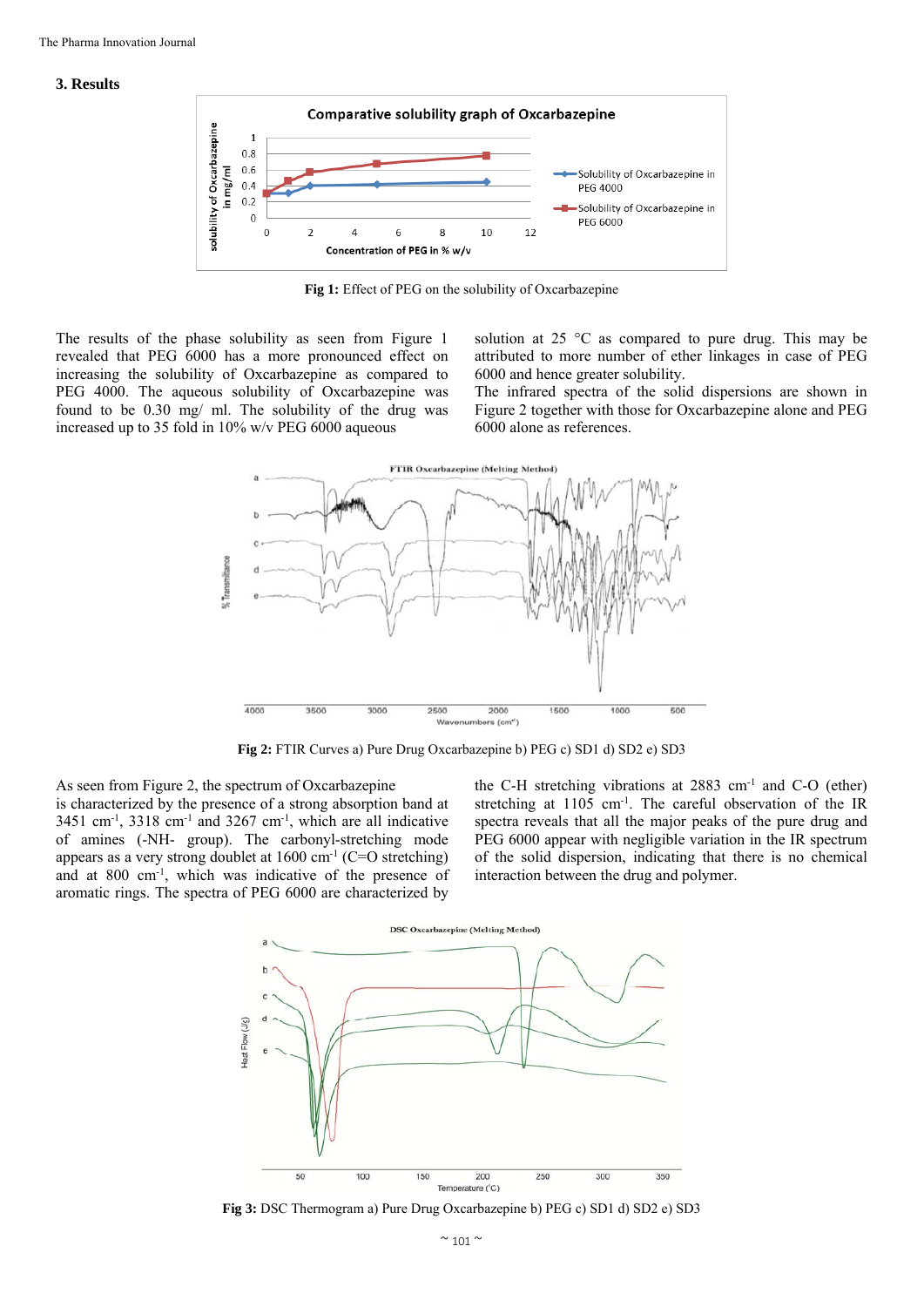#### **3. Results**



**Fig 1:** Effect of PEG on the solubility of Oxcarbazepine

The results of the phase solubility as seen from Figure 1 revealed that PEG 6000 has a more pronounced effect on increasing the solubility of Oxcarbazepine as compared to PEG 4000. The aqueous solubility of Oxcarbazepine was found to be 0.30 mg/ ml. The solubility of the drug was increased up to 35 fold in 10% w/v PEG 6000 aqueous

solution at 25 °C as compared to pure drug. This may be attributed to more number of ether linkages in case of PEG 6000 and hence greater solubility.

The infrared spectra of the solid dispersions are shown in Figure 2 together with those for Oxcarbazepine alone and PEG 6000 alone as references.



**Fig 2:** FTIR Curves a) Pure Drug Oxcarbazepine b) PEG c) SD1 d) SD2 e) SD3

As seen from Figure 2, the spectrum of Oxcarbazepine is characterized by the presence of a strong absorption band at  $3451$  cm<sup>-1</sup>,  $3318$  cm<sup>-1</sup> and  $3267$  cm<sup>-1</sup>, which are all indicative of amines (-NH- group). The carbonyl-stretching mode appears as a very strong doublet at  $1600 \text{ cm}^{-1}$  (C=O stretching) and at 800 cm-1, which was indicative of the presence of aromatic rings. The spectra of PEG 6000 are characterized by

the C-H stretching vibrations at 2883 cm<sup>-1</sup> and C-O (ether) stretching at 1105 cm-1. The careful observation of the IR spectra reveals that all the major peaks of the pure drug and PEG 6000 appear with negligible variation in the IR spectrum of the solid dispersion, indicating that there is no chemical interaction between the drug and polymer.



**Fig 3:** DSC Thermogram a) Pure Drug Oxcarbazepine b) PEG c) SD1 d) SD2 e) SD3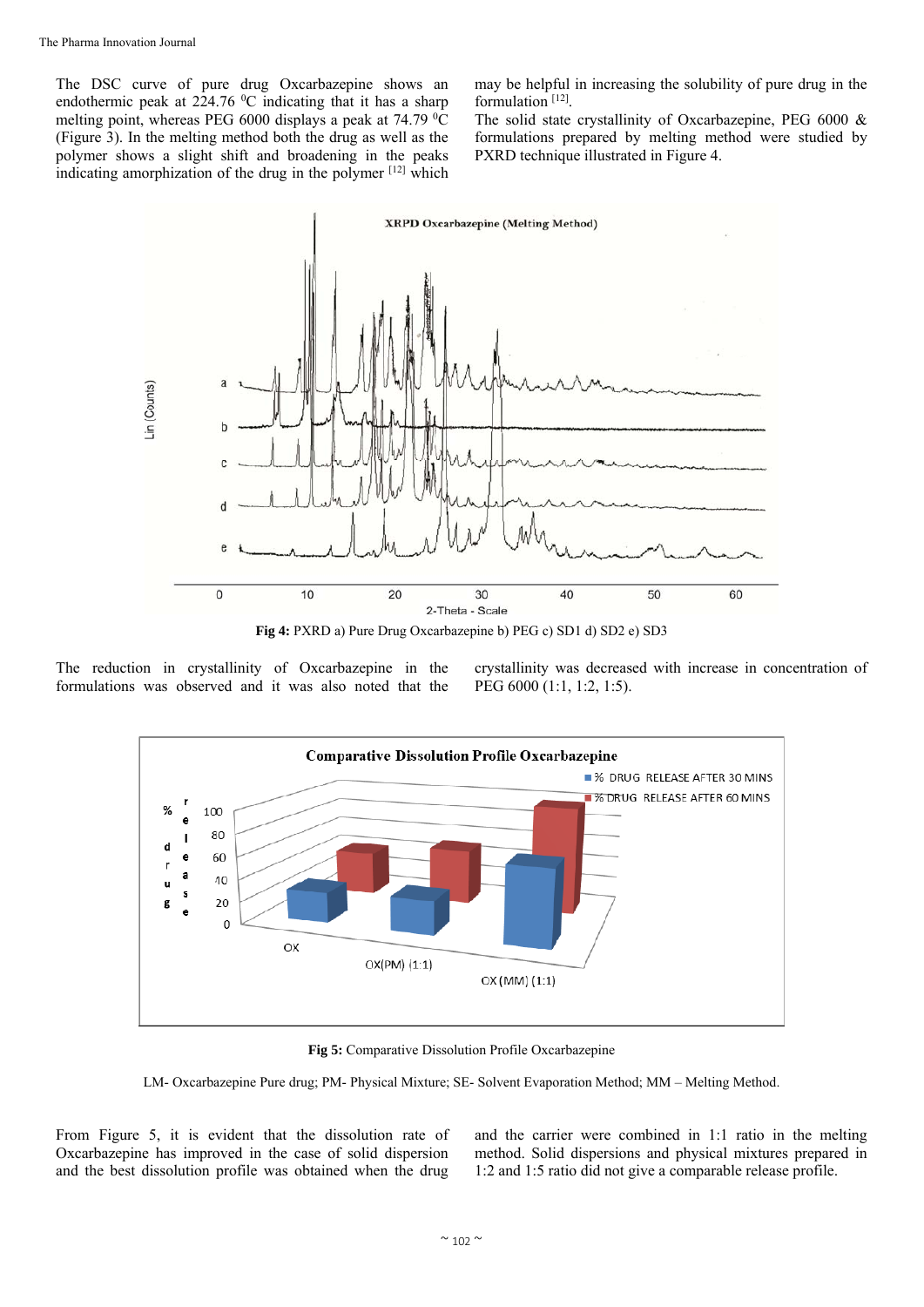The DSC curve of pure drug Oxcarbazepine shows an endothermic peak at  $224.76\text{ °C}$  indicating that it has a sharp melting point, whereas PEG 6000 displays a peak at  $74.79 \text{ °C}$ (Figure 3). In the melting method both the drug as well as the polymer shows a slight shift and broadening in the peaks indicating amorphization of the drug in the polymer [12] which

may be helpful in increasing the solubility of pure drug in the formulation<sup>[12]</sup>.

The solid state crystallinity of Oxcarbazepine, PEG 6000 & formulations prepared by melting method were studied by PXRD technique illustrated in Figure 4.



**Fig 4:** PXRD a) Pure Drug Oxcarbazepine b) PEG c) SD1 d) SD2 e) SD3

The reduction in crystallinity of Oxcarbazepine in the formulations was observed and it was also noted that the

crystallinity was decreased with increase in concentration of PEG 6000 (1:1, 1:2, 1:5).



**Fig 5:** Comparative Dissolution Profile Oxcarbazepine

LM- Oxcarbazepine Pure drug; PM- Physical Mixture; SE- Solvent Evaporation Method; MM – Melting Method.

From Figure 5, it is evident that the dissolution rate of Oxcarbazepine has improved in the case of solid dispersion and the best dissolution profile was obtained when the drug

and the carrier were combined in 1:1 ratio in the melting method. Solid dispersions and physical mixtures prepared in 1:2 and 1:5 ratio did not give a comparable release profile.